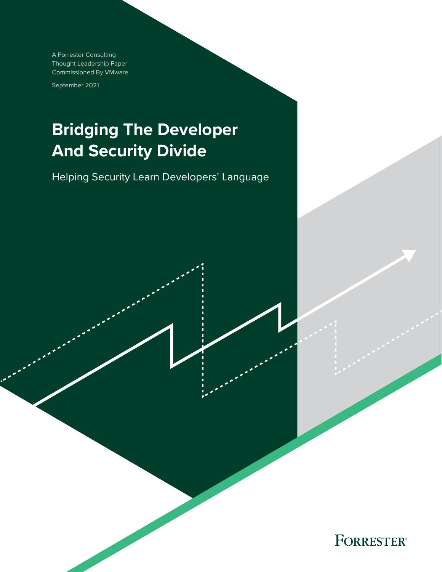A Forrester Consulting Thought Leadership Paper Commissioned By VMware

September 2021

# **Bridging The Developer And Security Divide**

Helping Security Learn Developers' Language

**FORRESTER®**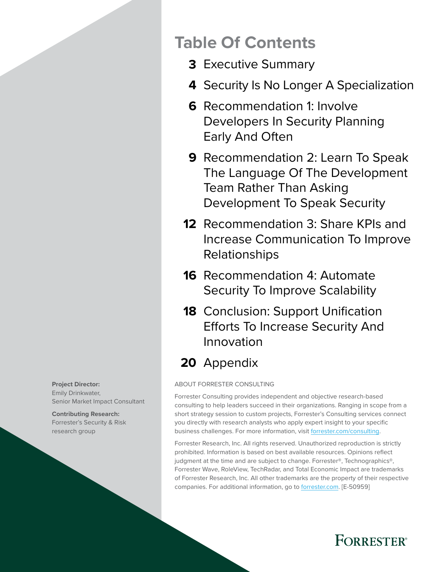#### **Project Director:**  Emily Drinkwater, Senior Market Impact Consultant

**Contributing Research:**  Forrester's Security & Risk research group

# **Table Of Contents**

- [Executive Summary](#page-2-0) **3**
- 4 [Security Is No Longer A Specialization](#page-3-0)
- **6** Recommendation 1: Involve [Developers In Security Planning](#page-5-0)  [Early And Often](#page-5-0)
- **9** Recommendation 2: Learn To Speak [The Language Of The Development](#page-8-0)  [Team Rather Than Asking](#page-8-0)  [Development To Speak Security](#page-8-0)
- **12** Recommendation 3: Share KPIs and [Increase Communication To Improve](#page-11-0)  [Relationships](#page-11-0)
- **16** Recommendation 4: Automate [Security To Improve Scalability](#page-15-0)
- **18** Conclusion: Support Unification [Efforts To Increase Security And](#page-17-0)  [Innovation](#page-17-0)

# 20 [Appendix](#page-19-0)

### ABOUT FORRESTER CONSULTING

Forrester Consulting provides independent and objective research-based consulting to help leaders succeed in their organizations. Ranging in scope from a short strategy session to custom projects, Forrester's Consulting services connect you directly with research analysts who apply expert insight to your specific business challenges. For more information, visit [forrester.com/consulting.](https://go.forrester.com/consulting/)

Forrester Research, Inc. All rights reserved. Unauthorized reproduction is strictly prohibited. Information is based on best available resources. Opinions reflect judgment at the time and are subject to change. Forrester®, Technographics®, Forrester Wave, RoleView, TechRadar, and Total Economic Impact are trademarks of Forrester Research, Inc. All other trademarks are the property of their respective companies. For additional information, go to [forrester.com](https://www.forrester.com/home/). [E-50959]

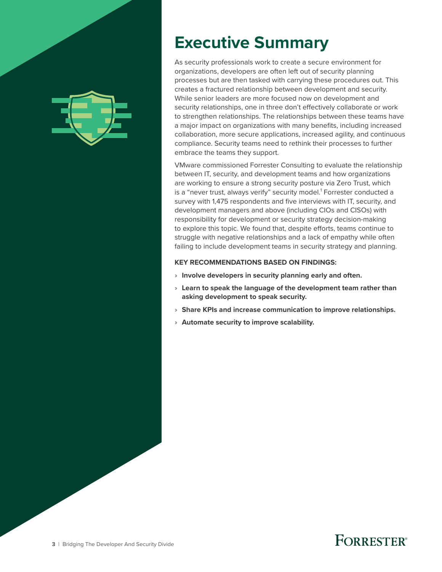<span id="page-2-0"></span>

# **Executive Summary**

As security professionals work to create a secure environment for organizations, developers are often left out of security planning processes but are then tasked with carrying these procedures out. This creates a fractured relationship between development and security. While senior leaders are more focused now on development and security relationships, one in three don't effectively collaborate or work to strengthen relationships. The relationships between these teams have a major impact on organizations with many benefits, including increased collaboration, more secure applications, increased agility, and continuous compliance. Security teams need to rethink their processes to further embrace the teams they support.

VMware commissioned Forrester Consulting to evaluate the relationship between IT, security, and development teams and how organizations are working to ensure a strong security posture via Zero Trust, which is a "never trust, always verify" security model. $^{\rm 1}$  Forrester conducted a survey with 1,475 respondents and five interviews with IT, security, and development managers and above (including CIOs and CISOs) with responsibility for development or security strategy decision-making to explore this topic. We found that, despite efforts, teams continue to struggle with negative relationships and a lack of empathy while often failing to include development teams in security strategy and planning.

#### **KEY RECOMMENDATIONS BASED ON FINDINGS:**

- › **Involve developers in security planning early and often.**
- › **Learn to speak the language of the development team rather than asking development to speak security.**
- › **Share KPIs and increase communication to improve relationships.**
- › **Automate security to improve scalability.**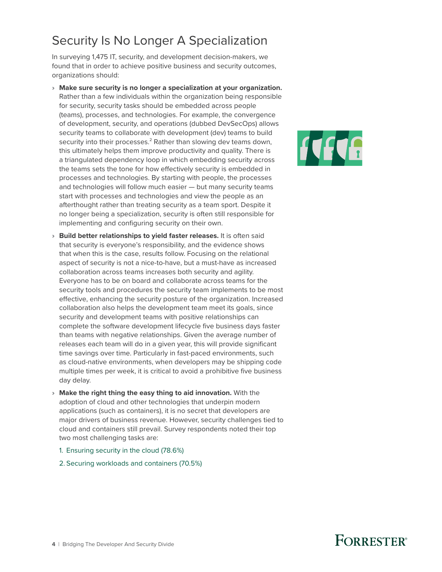### <span id="page-3-0"></span>Security Is No Longer A Specialization

In surveying 1,475 IT, security, and development decision-makers, we found that in order to achieve positive business and security outcomes, organizations should:

- › **Make sure security is no longer a specialization at your organization.** Rather than a few individuals within the organization being responsible for security, security tasks should be embedded across people (teams), processes, and technologies. For example, the convergence of development, security, and operations (dubbed DevSecOps) allows security teams to collaborate with development (dev) teams to build security into their processes.<sup>2</sup> Rather than slowing dev teams down, this ultimately helps them improve productivity and quality. There is a triangulated dependency loop in which embedding security across the teams sets the tone for how effectively security is embedded in processes and technologies. By starting with people, the processes and technologies will follow much easier — but many security teams start with processes and technologies and view the people as an afterthought rather than treating security as a team sport. Despite it no longer being a specialization, security is often still responsible for implementing and configuring security on their own.
- › **Build better relationships to yield faster releases.** It is often said that security is everyone's responsibility, and the evidence shows that when this is the case, results follow. Focusing on the relational aspect of security is not a nice-to-have, but a must-have as increased collaboration across teams increases both security and agility. Everyone has to be on board and collaborate across teams for the security tools and procedures the security team implements to be most effective, enhancing the security posture of the organization. Increased collaboration also helps the development team meet its goals, since security and development teams with positive relationships can complete the software development lifecycle five business days faster than teams with negative relationships. Given the average number of releases each team will do in a given year, this will provide significant time savings over time. Particularly in fast-paced environments, such as cloud-native environments, when developers may be shipping code multiple times per week, it is critical to avoid a prohibitive five business day delay.
- › **Make the right thing the easy thing to aid innovation.** With the adoption of cloud and other technologies that underpin modern applications (such as containers), it is no secret that developers are major drivers of business revenue. However, security challenges tied to cloud and containers still prevail. Survey respondents noted their top two most challenging tasks are:
	- 1. Ensuring security in the cloud (78.6%)
	- 2. Securing workloads and containers (70.5%)

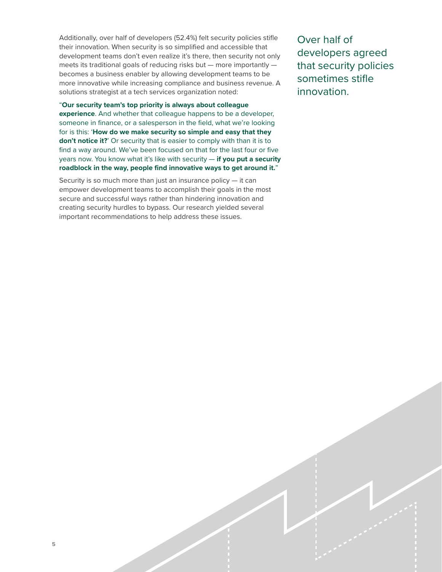Additionally, over half of developers (52.4%) felt security policies stifle their innovation. When security is so simplified and accessible that development teams don't even realize it's there, then security not only meets its traditional goals of reducing risks but — more importantly becomes a business enabler by allowing development teams to be more innovative while increasing compliance and business revenue. A solutions strategist at a tech services organization noted:

#### "**Our security team's top priority is always about colleague**

**experience**. And whether that colleague happens to be a developer, someone in finance, or a salesperson in the field, what we're looking for is this: '**How do we make security so simple and easy that they don't notice it?'** Or security that is easier to comply with than it is to find a way around. We've been focused on that for the last four or five years now. You know what it's like with security — **if you put a security roadblock in the way, people find innovative ways to get around it.**"

Security is so much more than just an insurance policy  $-$  it can empower development teams to accomplish their goals in the most secure and successful ways rather than hindering innovation and creating security hurdles to bypass. Our research yielded several important recommendations to help address these issues.

Over half of developers agreed that security policies sometimes stifle innovation.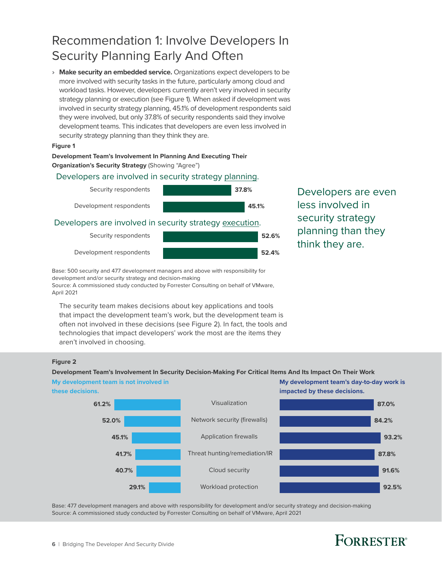## <span id="page-5-0"></span>Recommendation 1: Involve Developers In Security Planning Early And Often

› **Make security an embedded service.** Organizations expect developers to be more involved with security tasks in the future, particularly among cloud and workload tasks. However, developers currently aren't very involved in security strategy planning or execution (see Figure 1). When asked if development was involved in security strategy planning, 45.1% of development respondents said they were involved, but only 37.8% of security respondents said they involve development teams. This indicates that developers are even less involved in security strategy planning than they think they are.

### Full page **Figure 1**

#### **Development Team's Involvement In Planning And Executing Their Organization's Security Strategy** (Showing "Agree")

#### Developers are involved in security strategy planning.



Developers are even less involved in security strategy planning than they think they are.

Base: 500 security and 477 development managers and above with responsibility for development and/or security strategy and decision-making

Source: A commissioned study conducted by Forrester Consulting on behalf of VMware, April 2021

The security team makes decisions about key applications and tools that impact the development team's work, but the development team is often not involved in these decisions (see Figure 2). In fact, the tools and technologies that impact developers' work the most are the items they aren't involved in choosing.

### Full page **Figure 2**

**Development Team's Involvement In Security Decision-Making For Critical Items And Its Impact On Their Work**



Source: A commissioned study conducted by Forrester Consulting on behalf of VMware, April 2021

# **FORRESTER**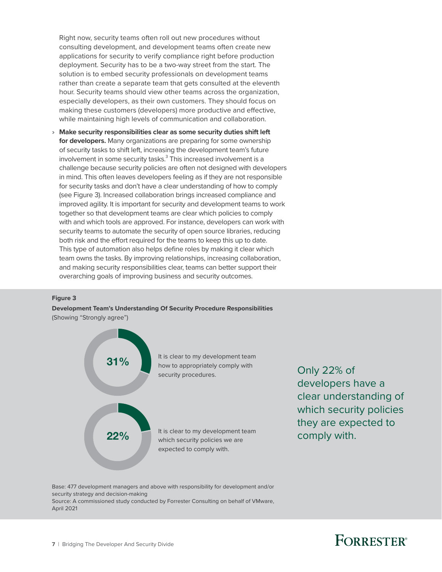Right now, security teams often roll out new procedures without consulting development, and development teams often create new applications for security to verify compliance right before production deployment. Security has to be a two-way street from the start. The solution is to embed security professionals on development teams rather than create a separate team that gets consulted at the eleventh hour. Security teams should view other teams across the organization, especially developers, as their own customers. They should focus on making these customers (developers) more productive and effective, while maintaining high levels of communication and collaboration.

› **Make security responsibilities clear as some security duties shift left for developers.** Many organizations are preparing for some ownership of security tasks to shift left, increasing the development team's future involvement in some security tasks. $^3$  This increased involvement is a challenge because security policies are often not designed with developers in mind. This often leaves developers feeling as if they are not responsible for security tasks and don't have a clear understanding of how to comply (see Figure 3). Increased collaboration brings increased compliance and improved agility. It is important for security and development teams to work together so that development teams are clear which policies to comply with and which tools are approved. For instance, developers can work with security teams to automate the security of open source libraries, reducing both risk and the effort required for the teams to keep this up to date. This type of automation also helps define roles by making it clear which team owns the tasks. By improving relationships, increasing collaboration, and making security responsibilities clear, teams can better support their overarching goals of improving business and security outcomes.

#### **Figure 3**

**Development Team's Understanding Of Security Procedure Responsibilities**  (Showing "Strongly agree")



developers have a clear understanding of which security policies they are expected to comply with.

Base: 477 development managers and above with responsibility for development and/or security strategy and decision-making

Source: A commissioned study conducted by Forrester Consulting on behalf of VMware, April 2021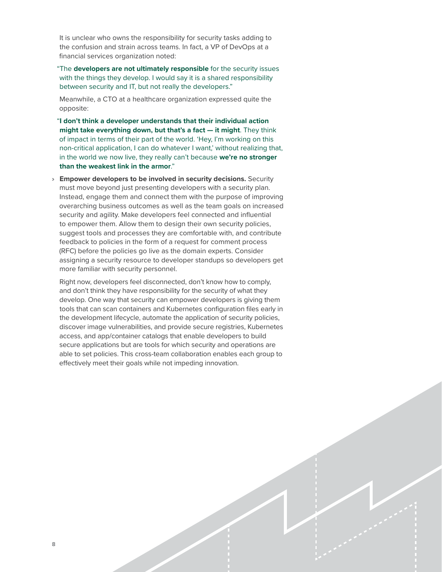It is unclear who owns the responsibility for security tasks adding to the confusion and strain across teams. In fact, a VP of DevOps at a financial services organization noted:

"The **developers are not ultimately responsible** for the security issues with the things they develop. I would say it is a shared responsibility between security and IT, but not really the developers."

Meanwhile, a CTO at a healthcare organization expressed quite the opposite:

"**I don't think a developer understands that their individual action might take everything down, but that's a fact — it might**. They think of impact in terms of their part of the world. 'Hey, I'm working on this non-critical application, I can do whatever I want,' without realizing that, in the world we now live, they really can't because **we're no stronger than the weakest link in the armor**."

› **Empower developers to be involved in security decisions.** Security must move beyond just presenting developers with a security plan. Instead, engage them and connect them with the purpose of improving overarching business outcomes as well as the team goals on increased security and agility. Make developers feel connected and influential to empower them. Allow them to design their own security policies, suggest tools and processes they are comfortable with, and contribute feedback to policies in the form of a request for comment process (RFC) before the policies go live as the domain experts. Consider assigning a security resource to developer standups so developers get more familiar with security personnel.

Right now, developers feel disconnected, don't know how to comply, and don't think they have responsibility for the security of what they develop. One way that security can empower developers is giving them tools that can scan containers and Kubernetes configuration files early in the development lifecycle, automate the application of security policies, discover image vulnerabilities, and provide secure registries, Kubernetes access, and app/container catalogs that enable developers to build secure applications but are tools for which security and operations are able to set policies. This cross-team collaboration enables each group to effectively meet their goals while not impeding innovation.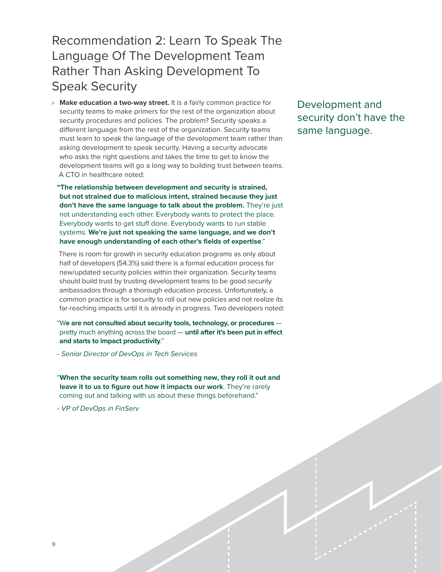### <span id="page-8-0"></span>Recommendation 2: Learn To Speak The Language Of The Development Team Rather Than Asking Development To Speak Security

› **Make education a two-way street.** It is a fairly common practice for security teams to make primers for the rest of the organization about security procedures and policies. The problem? Security speaks a different language from the rest of the organization. Security teams must learn to speak the language of the development team rather than asking development to speak security. Having a security advocate who asks the right questions and takes the time to get to know the development teams will go a long way to building trust between teams. A CTO in healthcare noted:

**"The relationship between development and security is strained, but not strained due to malicious intent, strained because they just don't have the same language to talk about the problem.** They're just not understanding each other. Everybody wants to protect the place. Everybody wants to get stuff done. Everybody wants to run stable systems. **We're just not speaking the same language, and we don't have enough understanding of each other's fields of expertise**."

There is room for growth in security education programs as only about half of developers (54.3%) said there is a formal education process for new/updated security policies within their organization. Security teams should build trust by trusting development teams to be good security ambassadors through a thorough education process. Unfortunately, a common practice is for security to roll out new policies and not realize its far-reaching impacts until it is already in progress. Two developers noted:

"W**e are not consulted about security tools, technology, or procedures** pretty much anything across the board — **until after it's been put in effect and starts to impact productivity**."

*- Senior Director of DevOps in Tech Services*

"**When the security team rolls out something new, they roll it out and leave it to us to figure out how it impacts our work**. They're rarely coming out and talking with us about these things beforehand."

*- VP of DevOps in FinServ* 

Development and security don't have the same language.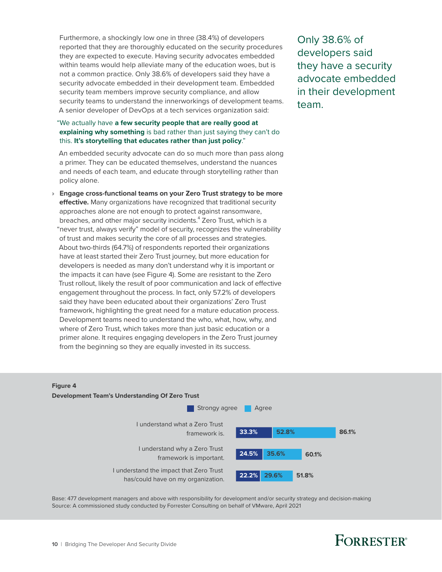Furthermore, a shockingly low one in three (38.4%) of developers reported that they are thoroughly educated on the security procedures they are expected to execute. Having security advocates embedded within teams would help alleviate many of the education woes, but is not a common practice. Only 38.6% of developers said they have a security advocate embedded in their development team. Embedded security team members improve security compliance, and allow security teams to understand the innerworkings of development teams. A senior developer of DevOps at a tech services organization said:

#### "We actually have **a few security people that are really good at explaining why something** is bad rather than just saying they can't do this. **It's storytelling that educates rather than just policy**."

An embedded security advocate can do so much more than pass along a primer. They can be educated themselves, understand the nuances and needs of each team, and educate through storytelling rather than policy alone.

› **Engage cross-functional teams on your Zero Trust strategy to be more effective.** Many organizations have recognized that traditional security approaches alone are not enough to protect against ransomware, breaches, and other major security incidents.<sup>4</sup> Zero Trust, which is a "never trust, always verify" model of security, recognizes the vulnerability of trust and makes security the core of all processes and strategies. About two-thirds (64.7%) of respondents reported their organizations have at least started their Zero Trust journey, but more education for developers is needed as many don't understand why it is important or the impacts it can have (see Figure 4). Some are resistant to the Zero Trust rollout, likely the result of poor communication and lack of effective engagement throughout the process. In fact, only 57.2% of developers said they have been educated about their organizations' Zero Trust framework, highlighting the great need for a mature education process. Development teams need to understand the who, what, how, why, and where of Zero Trust, which takes more than just basic education or a primer alone. It requires engaging developers in the Zero Trust journey from the beginning so they are equally invested in its success.

Only 38.6% of developers said they have a security advocate embedded in their development team.

### Full page **Figure 4**



Base: 477 development managers and above with responsibility for development and/or security strategy and decision-making Source: A commissioned study conducted by Forrester Consulting on behalf of VMware, April 2021

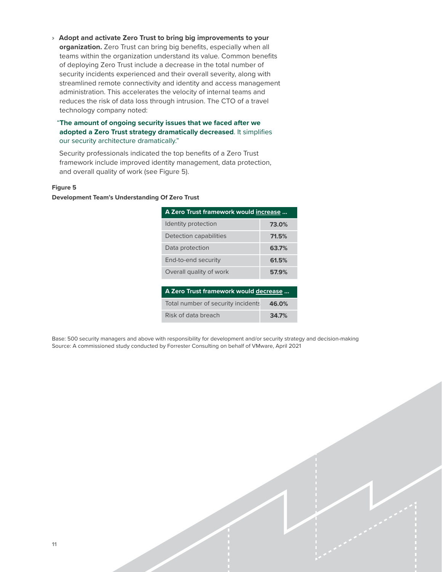› **Adopt and activate Zero Trust to bring big improvements to your organization.** Zero Trust can bring big benefits, especially when all teams within the organization understand its value. Common benefits of deploying Zero Trust include a decrease in the total number of security incidents experienced and their overall severity, along with streamlined remote connectivity and identity and access management administration. This accelerates the velocity of internal teams and reduces the risk of data loss through intrusion. The CTO of a travel technology company noted:

#### "**The amount of ongoing security issues that we faced after we adopted a Zero Trust strategy dramatically decreased**. It simplifies our security architecture dramatically."

Security professionals indicated the top benefits of a Zero Trust framework include improved identity management, data protection, and overall quality of work (see Figure 5).

#### **Figure 5**

#### **Development Team's Understanding Of Zero Trust**

| A Zero Trust framework would increase |       |
|---------------------------------------|-------|
| Identity protection                   | 73.0% |
| Detection capabilities                | 71.5% |
| Data protection                       | 63.7% |
| End-to-end security                   | 61.5% |
| Overall quality of work               | 57.9% |
|                                       |       |
| A Zero Trust framework would decrease |       |
| Total number of security incidents    | 46.0% |

**34.7%**

Base: 500 security managers and above with responsibility for development and/or security strategy and decision-making Source: A commissioned study conducted by Forrester Consulting on behalf of VMware, April 2021

Risk of data breach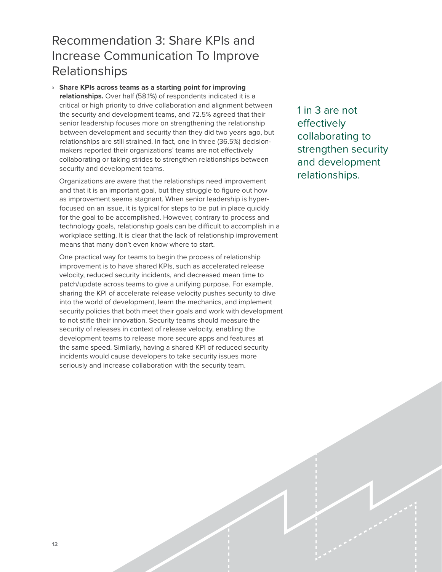### <span id="page-11-0"></span>Recommendation 3: Share KPIs and Increase Communication To Improve Relationships

› **Share KPIs across teams as a starting point for improving relationships.** Over half (58.1%) of respondents indicated it is a critical or high priority to drive collaboration and alignment between the security and development teams, and 72.5% agreed that their senior leadership focuses more on strengthening the relationship between development and security than they did two years ago, but relationships are still strained. In fact, one in three (36.5%) decisionmakers reported their organizations' teams are not effectively collaborating or taking strides to strengthen relationships between security and development teams.

Organizations are aware that the relationships need improvement and that it is an important goal, but they struggle to figure out how as improvement seems stagnant. When senior leadership is hyperfocused on an issue, it is typical for steps to be put in place quickly for the goal to be accomplished. However, contrary to process and technology goals, relationship goals can be difficult to accomplish in a workplace setting. It is clear that the lack of relationship improvement means that many don't even know where to start.

One practical way for teams to begin the process of relationship improvement is to have shared KPIs, such as accelerated release velocity, reduced security incidents, and decreased mean time to patch/update across teams to give a unifying purpose. For example, sharing the KPI of accelerate release velocity pushes security to dive into the world of development, learn the mechanics, and implement security policies that both meet their goals and work with development to not stifle their innovation. Security teams should measure the security of releases in context of release velocity, enabling the development teams to release more secure apps and features at the same speed. Similarly, having a shared KPI of reduced security incidents would cause developers to take security issues more seriously and increase collaboration with the security team.

1 in 3 are not effectively collaborating to strengthen security and development relationships.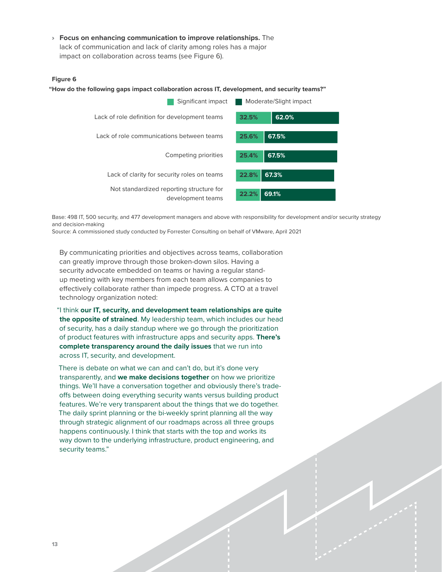› **Focus on enhancing communication to improve relationships.** The lack of communication and lack of clarity among roles has a major impact on collaboration across teams (see Figure 6).

### Full page **Figure 6**

#### **"How do the following gaps impact collaboration across IT, development, and security teams?"**



Base: 498 IT, 500 security, and 477 development managers and above with responsibility for development and/or security strategy and decision-making

Source: A commissioned study conducted by Forrester Consulting on behalf of VMware, April 2021

By communicating priorities and objectives across teams, collaboration can greatly improve through those broken-down silos. Having a security advocate embedded on teams or having a regular standup meeting with key members from each team allows companies to effectively collaborate rather than impede progress. A CTO at a travel technology organization noted:

"I think **our IT, security, and development team relationships are quite the opposite of strained**. My leadership team, which includes our head of security, has a daily standup where we go through the prioritization of product features with infrastructure apps and security apps. **There's complete transparency around the daily issues** that we run into across IT, security, and development.

There is debate on what we can and can't do, but it's done very transparently, and **we make decisions together** on how we prioritize things. We'll have a conversation together and obviously there's tradeoffs between doing everything security wants versus building product features. We're very transparent about the things that we do together. The daily sprint planning or the bi-weekly sprint planning all the way through strategic alignment of our roadmaps across all three groups happens continuously. I think that starts with the top and works its way down to the underlying infrastructure, product engineering, and security teams."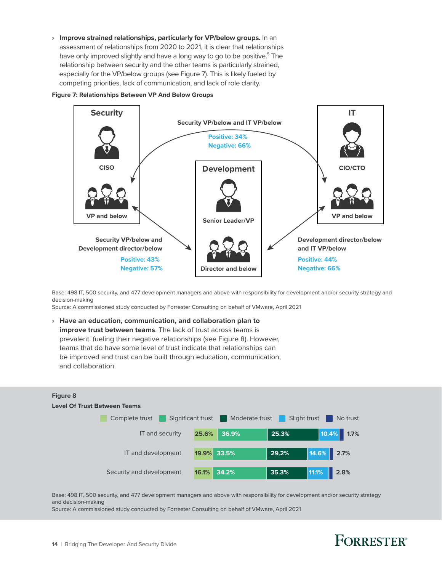› **Improve strained relationships, particularly for VP/below groups.** In an assessment of relationships from 2020 to 2021, it is clear that relationships have only improved slightly and have a long way to go to be positive.<sup>5</sup> The relationship between security and the other teams is particularly strained, especially for the VP/below groups (see Figure 7). This is likely fueled by competing priorities, lack of communication, and lack of role clarity.

#### **Figure 7: Relationships Between VP And Below Groups**



Base: 498 IT, 500 security, and 477 development managers and above with responsibility for development and/or security strategy and decision-making

Source: A commissioned study conducted by Forrester Consulting on behalf of VMware, April 2021

› **Have an education, communication, and collaboration plan to improve trust between teams**. The lack of trust across teams is prevalent, fueling their negative relationships (see Figure 8). However, teams that do have some level of trust indicate that relationships can be improved and trust can be built through education, communication, and collaboration.



Base: 498 IT, 500 security, and 477 development managers and above with responsibility for development and/or security strategy and decision-making

Source: A commissioned study conducted by Forrester Consulting on behalf of VMware, April 2021

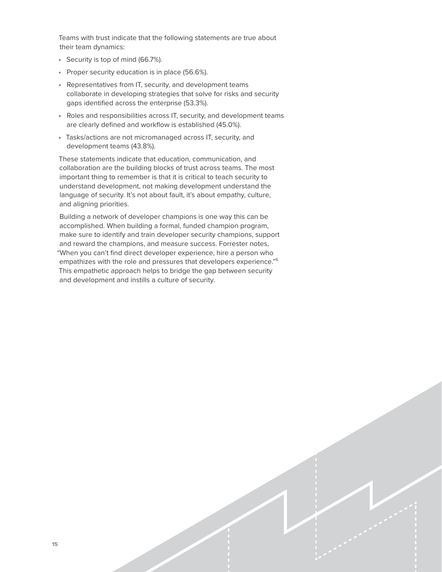Teams with trust indicate that the following statements are true about their team dynamics:

- Security is top of mind (66.7%).
- Proper security education is in place (56.6%).
- Representatives from IT, security, and development teams collaborate in developing strategies that solve for risks and security gaps identified across the enterprise (53.3%).
- Roles and responsibilities across IT, security, and development teams are clearly defined and workflow is established (45.0%).
- Tasks/actions are not micromanaged across IT, security, and development teams (43.8%).

These statements indicate that education, communication, and collaboration are the building blocks of trust across teams. The most important thing to remember is that it is critical to teach security to understand development, not making development understand the language of security. It's not about fault, it's about empathy, culture, and aligning priorities.

Building a network of developer champions is one way this can be accomplished. When building a formal, funded champion program, make sure to identify and train developer security champions, support and reward the champions, and measure success. Forrester notes, "When you can't find direct developer experience, hire a person who empathizes with the role and pressures that developers experience."<sup>6</sup> This empathetic approach helps to bridge the gap between security and development and instills a culture of security.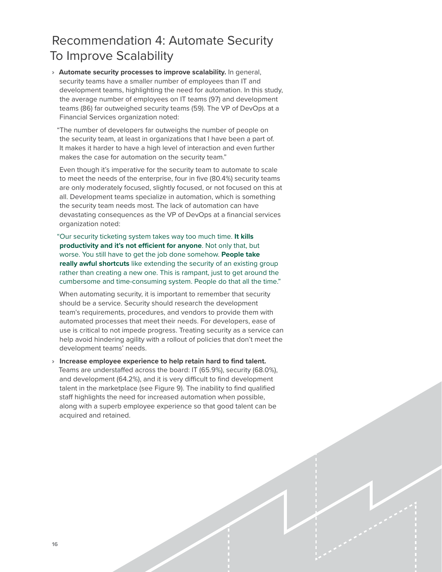### <span id="page-15-0"></span>Recommendation 4: Automate Security To Improve Scalability

- › **Automate security processes to improve scalability.** In general, security teams have a smaller number of employees than IT and development teams, highlighting the need for automation. In this study, the average number of employees on IT teams (97) and development teams (86) far outweighed security teams (59). The VP of DevOps at a Financial Services organization noted:
	- "The number of developers far outweighs the number of people on the security team, at least in organizations that I have been a part of. It makes it harder to have a high level of interaction and even further makes the case for automation on the security team."

Even though it's imperative for the security team to automate to scale to meet the needs of the enterprise, four in five (80.4%) security teams are only moderately focused, slightly focused, or not focused on this at all. Development teams specialize in automation, which is something the security team needs most. The lack of automation can have devastating consequences as the VP of DevOps at a financial services organization noted:

"Our security ticketing system takes way too much time. **It kills productivity and it's not efficient for anyone**. Not only that, but worse. You still have to get the job done somehow. **People take really awful shortcuts** like extending the security of an existing group rather than creating a new one. This is rampant, just to get around the cumbersome and time-consuming system. People do that all the time."

When automating security, it is important to remember that security should be a service. Security should research the development team's requirements, procedures, and vendors to provide them with automated processes that meet their needs. For developers, ease of use is critical to not impede progress. Treating security as a service can help avoid hindering agility with a rollout of policies that don't meet the development teams' needs.

› **Increase employee experience to help retain hard to find talent.** Teams are understaffed across the board: IT (65.9%), security (68.0%), and development (64.2%), and it is very difficult to find development talent in the marketplace (see Figure 9). The inability to find qualified staff highlights the need for increased automation when possible, along with a superb employee experience so that good talent can be acquired and retained.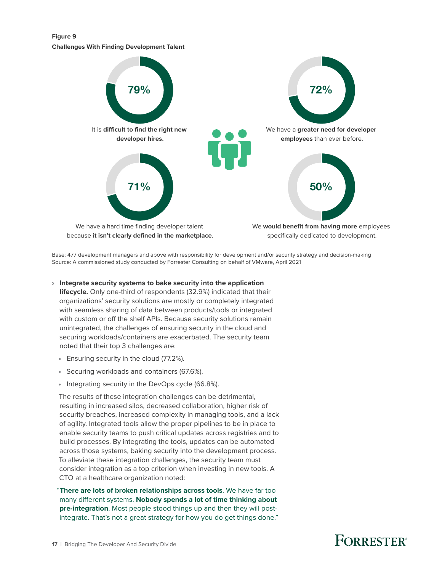**Figure 9 Challenges With Finding Development Talent**



Base: 477 development managers and above with responsibility for development and/or security strategy and decision-making Source: A commissioned study conducted by Forrester Consulting on behalf of VMware, April 2021

#### › **Integrate security systems to bake security into the application**

**lifecycle.** Only one-third of respondents (32.9%) indicated that their organizations' security solutions are mostly or completely integrated with seamless sharing of data between products/tools or integrated with custom or off the shelf APIs. Because security solutions remain unintegrated, the challenges of ensuring security in the cloud and securing workloads/containers are exacerbated. The security team noted that their top 3 challenges are:

- Ensuring security in the cloud (77.2%).
- Securing workloads and containers (67.6%).
- Integrating security in the DevOps cycle (66.8%).

The results of these integration challenges can be detrimental, resulting in increased silos, decreased collaboration, higher risk of security breaches, increased complexity in managing tools, and a lack of agility. Integrated tools allow the proper pipelines to be in place to enable security teams to push critical updates across registries and to build processes. By integrating the tools, updates can be automated across those systems, baking security into the development process. To alleviate these integration challenges, the security team must consider integration as a top criterion when investing in new tools. A CTO at a healthcare organization noted:

"**There are lots of broken relationships across tools**. We have far too many different systems. **Nobody spends a lot of time thinking about pre-integration**. Most people stood things up and then they will postintegrate. That's not a great strategy for how you do get things done."

# **FORRESTER**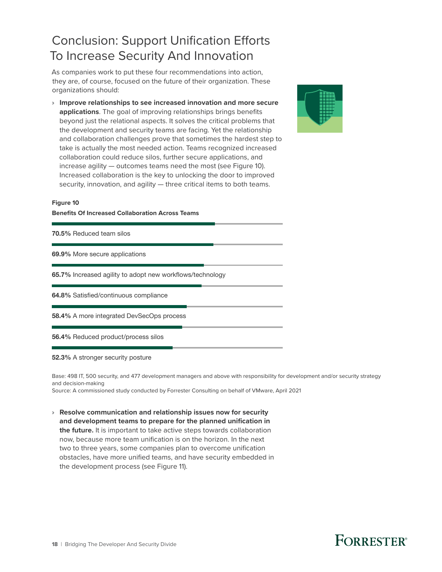## <span id="page-17-0"></span>Conclusion: Support Unification Efforts To Increase Security And Innovation

As companies work to put these four recommendations into action, they are, of course, focused on the future of their organization. These organizations should:

› **Improve relationships to see increased innovation and more secure applications**. The goal of improving relationships brings benefits beyond just the relational aspects. It solves the critical problems that the development and security teams are facing. Yet the relationship and collaboration challenges prove that sometimes the hardest step to take is actually the most needed action. Teams recognized increased collaboration could reduce silos, further secure applications, and increase agility — outcomes teams need the most (see Figure 10). Increased collaboration is the key to unlocking the door to improved security, innovation, and agility — three critical items to both teams.



#### **Figure 10**

**Benefits Of Increased Collaboration Across Teams**

| <b>70.5% Reduced team silos</b>                                  |
|------------------------------------------------------------------|
| 69.9% More secure applications                                   |
| <b>65.7%</b> Increased agility to adopt new workflows/technology |
| <b>64.8%</b> Satisfied/continuous compliance                     |
| <b>58.4%</b> A more integrated DevSecOps process                 |
| <b>56.4%</b> Reduced product/process silos                       |

#### 52.3% A stronger security posture

Base: 498 IT, 500 security, and 477 development managers and above with responsibility for development and/or security strategy and decision-making

Source: A commissioned study conducted by Forrester Consulting on behalf of VMware, April 2021

› **Resolve communication and relationship issues now for security and development teams to prepare for the planned unification in the future.** It is important to take active steps towards collaboration now, because more team unification is on the horizon. In the next two to three years, some companies plan to overcome unification obstacles, have more unified teams, and have security embedded in the development process (see Figure 11).

# **FORRESTER®**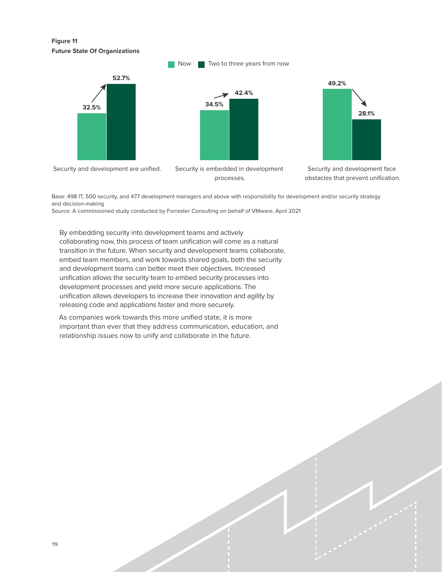**Figure 11 Future State Of Organizations**



processes.

Security and development face obstacles that prevent unification.

Base: 498 IT, 500 security, and 477 development managers and above with responsibility for development and/or security strategy and decision-making

Source: A commissioned study conducted by Forrester Consulting on behalf of VMware, April 2021

By embedding security into development teams and actively collaborating now, this process of team unification will come as a natural transition in the future. When security and development teams collaborate, embed team members, and work towards shared goals, both the security and development teams can better meet their objectives. Increased unification allows the security team to embed security processes into development processes and yield more secure applications. The unification allows developers to increase their innovation and agility by releasing code and applications faster and more securely.

As companies work towards this more unified state, it is more important than ever that they address communication, education, and relationship issues now to unify and collaborate in the future.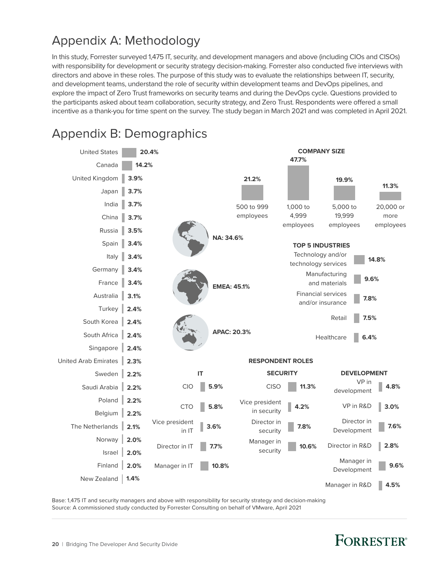## <span id="page-19-0"></span>Appendix A: Methodology

In this study, Forrester surveyed 1,475 IT, security, and development managers and above (including CIOs and CISOs) with responsibility for development or security strategy decision-making. Forrester also conducted five interviews with directors and above in these roles. The purpose of this study was to evaluate the relationships between IT, security, and development teams, understand the role of security within development teams and DevOps pipelines, and explore the impact of Zero Trust frameworks on security teams and during the DevOps cycle. Questions provided to the participants asked about team collaboration, security strategy, and Zero Trust. Respondents were offered a small incentive as a thank-you for time spent on the survey. The study began in March 2021 and was completed in April 2021.



Appendix B: Demographics

Base: 1,475 IT and security managers and above with responsibility for security strategy and decision-making Source: A commissioned study conducted by Forrester Consulting on behalf of VMware, April 2021

# **FORRESTER**